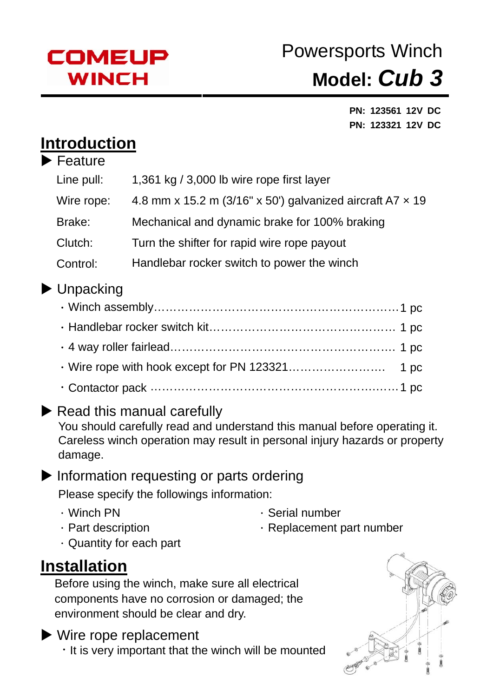

# Powersports Winch **Model:** *Cub 3*

**PN: 123561 12V DC PN: 123321 12V DC** 

### **Introduction**

| $\blacktriangleright$ Feature |                                                                  |
|-------------------------------|------------------------------------------------------------------|
| Line pull:                    | 1,361 kg $/$ 3,000 lb wire rope first layer                      |
| Wire rope:                    | 4.8 mm x 15.2 m (3/16" x 50') galvanized aircraft A7 $\times$ 19 |
| Brake:                        | Mechanical and dynamic brake for 100% braking                    |
| Clutch:                       | Turn the shifter for rapid wire rope payout                      |
| Control:                      | Handlebar rocker switch to power the winch                       |

### $\blacktriangleright$  Unpacking

### $\blacktriangleright$  Read this manual carefully

You should carefully read and understand this manual before operating it. Careless winch operation may result in personal injury hazards or property damage.

#### $\blacktriangleright$  Information requesting or parts ordering Please specify the followings information:

- 
- . Winch PN . Serial number
- 
- . Part description . The Replacement part number
- .Quantity for each part

### **Installation**

Before using the winch, make sure all electrical components have no corrosion or damaged; the environment should be clear and dry.

 $\blacktriangleright$  Wire rope replacement  $\cdot$  It is very important that the winch will be mounted

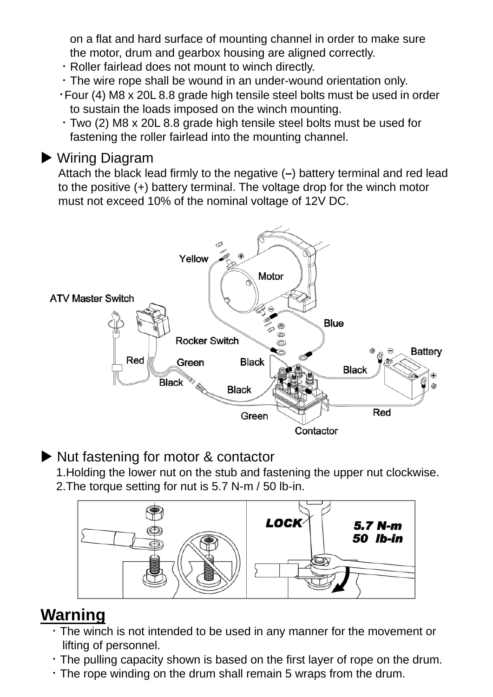on a flat and hard surface of mounting channel in order to make sure the motor, drum and gearbox housing are aligned correctly.

- .Roller fairlead does not mount to winch directly.
- .The wire rope shall be wound in an under-wound orientation only.
- .Four (4) M8 x 20L 8.8 grade high tensile steel bolts must be used in order to sustain the loads imposed on the winch mounting.
- .Two (2) M8 x 20L 8.8 grade high tensile steel bolts must be used for fastening the roller fairlead into the mounting channel.

#### $\blacktriangleright$  Wiring Diagram

Attach the black lead firmly to the negative (**–**) battery terminal and red lead to the positive (+) battery terminal. The voltage drop for the winch motor must not exceed 10% of the nominal voltage of 12V DC.



#### $\triangleright$  Nut fastening for motor & contactor

1.Holding the lower nut on the stub and fastening the upper nut clockwise. 2.The torque setting for nut is 5.7 N-m / 50 lb-in.



### **Warning**

- .The winch is not intended to be used in any manner for the movement or lifting of personnel.
- .The pulling capacity shown is based on the first layer of rope on the drum.
- .The rope winding on the drum shall remain 5 wraps from the drum.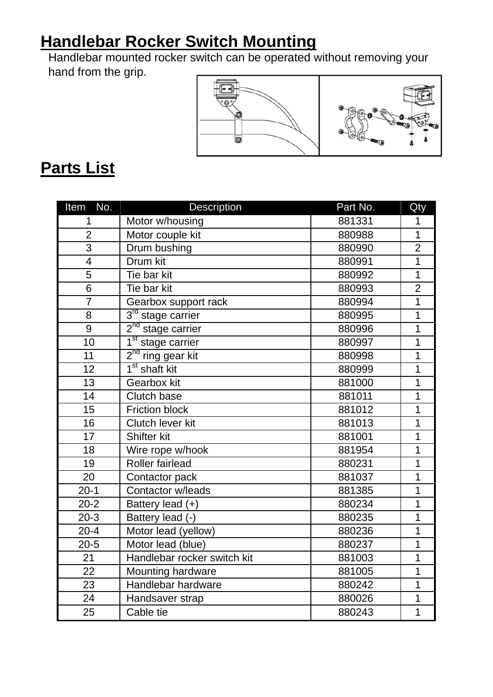## **Handlebar Rocker Switch Mounting**

Handlebar mounted rocker switch can be operated without removing your hand from the grip.



### **Parts List**

| No.<br>Item     | <b>Description</b>            | Part No. | Qty            |
|-----------------|-------------------------------|----------|----------------|
| 1               | Motor w/housing               | 881331   | 1              |
| $\overline{2}$  | Motor couple kit              | 880988   | $\overline{1}$ |
| $\overline{3}$  | Drum bushing                  | 880990   | $\overline{2}$ |
| $\overline{4}$  | Drum kit                      | 880991   | $\overline{1}$ |
| 5               | Tie bar kit                   | 880992   | $\overline{1}$ |
| 6               | Tie bar kit                   | 880993   | $\overline{2}$ |
| $\overline{7}$  | Gearbox support rack          | 880994   | $\overline{1}$ |
| 8               | $3rd$ stage carrier           | 880995   | $\overline{1}$ |
| 9               | 2 <sup>nd</sup> stage carrier | 880996   | $\mathbf 1$    |
| 10              | 1 <sup>st</sup> stage carrier | 880997   | $\overline{1}$ |
| 11              | $2nd$ ring gear kit           | 880998   | 1              |
| 12              | 1 <sup>st</sup> shaft kit     | 880999   | $\overline{1}$ |
| 13              | Gearbox kit                   | 881000   | 1              |
| 14              | <b>Clutch base</b>            | 881011   | 1              |
| 15              | <b>Friction block</b>         | 881012   | $\mathbf 1$    |
| 16              | Clutch lever kit              | 881013   | $\mathbf 1$    |
| $\overline{17}$ | Shifter kit                   | 881001   | $\overline{1}$ |
| 18              | Wire rope w/hook              | 881954   | 1              |
| 19              | <b>Roller fairlead</b>        | 880231   | $\overline{1}$ |
| 20              | Contactor pack                | 881037   | $\overline{1}$ |
| $20 - 1$        | Contactor w/leads             | 881385   | $\overline{1}$ |
| $20 - 2$        | Battery lead (+)              | 880234   | $\overline{1}$ |
| $20-3$          | Battery lead (-)              | 880235   | 1              |
| $20 - 4$        | Motor lead (yellow)           | 880236   | 1              |
| $20 - 5$        | Motor lead (blue)             | 880237   | 1              |
| 21              | Handlebar rocker switch kit   | 881003   | $\overline{1}$ |
| 22              | Mounting hardware             | 881005   | $\overline{1}$ |
| 23              | Handlebar hardware            | 880242   | 1              |
| 24              | Handsaver strap               | 880026   | 1              |
| 25              | Cable tie                     | 880243   | 1              |